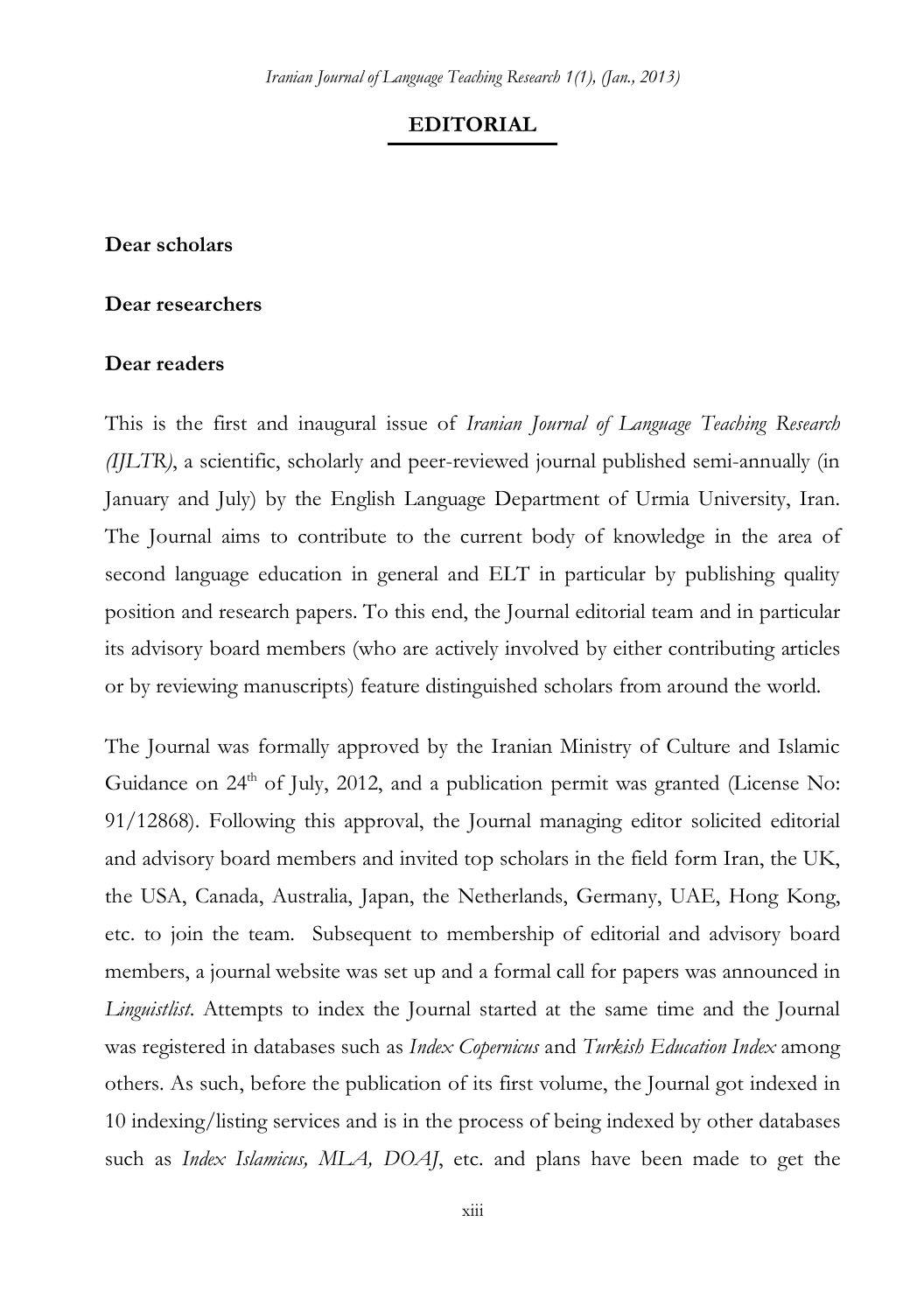# **EDITORIAL**

## **Dear scholars**

# **Dear researchers**

## **Dear readers**

This is the first and inaugural issue of *Iranian Journal of Language Teaching Research (IJLTR)*, a scientific, scholarly and peer-reviewed journal published semi-annually (in January and July) by the English Language Department of Urmia University, Iran. The Journal aims to contribute to the current body of knowledge in the area of second language education in general and ELT in particular by publishing quality position and research papers. To this end, the Journal editorial team and in particular its advisory board members (who are actively involved by either contributing articles or by reviewing manuscripts) feature distinguished scholars from around the world.

The Journal was formally approved by the Iranian Ministry of Culture and Islamic Guidance on  $24<sup>th</sup>$  of July, 2012, and a publication permit was granted (License No: 91/12868). Following this approval, the Journal managing editor solicited editorial and advisory board members and invited top scholars in the field form Iran, the UK, the USA, Canada, Australia, Japan, the Netherlands, Germany, UAE, Hong Kong, etc. to join the team. Subsequent to membership of editorial and advisory board members, a journal website was set up and a formal call for papers was announced in *Linguistlist*. Attempts to index the Journal started at the same time and the Journal was registered in databases such as *Index Copernicus* and *Turkish Education Index* among others. As such, before the publication of its first volume, the Journal got indexed in 10 indexing/listing services and is in the process of being indexed by other databases such as *Index Islamicus, MLA, DOAJ*, etc. and plans have been made to get the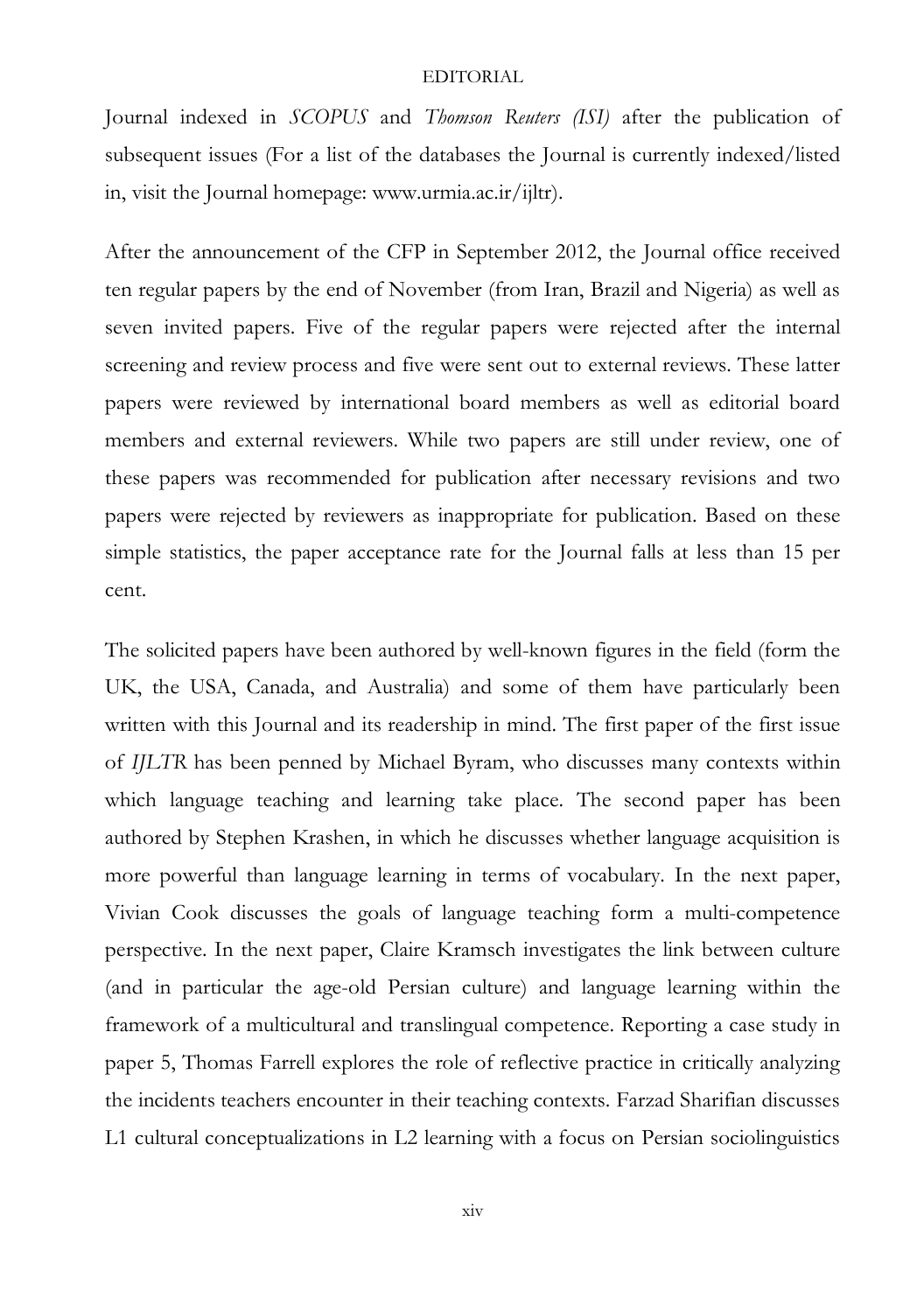#### EDITORIAL

Journal indexed in *SCOPUS* and *Thomson Reuters (ISI)* after the publication of subsequent issues (For a list of the databases the Journal is currently indexed/listed in, visit the Journal homepage: www.urmia.ac.ir/ijltr).

After the announcement of the CFP in September 2012, the Journal office received ten regular papers by the end of November (from Iran, Brazil and Nigeria) as well as seven invited papers. Five of the regular papers were rejected after the internal screening and review process and five were sent out to external reviews. These latter papers were reviewed by international board members as well as editorial board members and external reviewers. While two papers are still under review, one of these papers was recommended for publication after necessary revisions and two papers were rejected by reviewers as inappropriate for publication. Based on these simple statistics, the paper acceptance rate for the Journal falls at less than 15 per cent.

The solicited papers have been authored by well-known figures in the field (form the UK, the USA, Canada, and Australia) and some of them have particularly been written with this Journal and its readership in mind. The first paper of the first issue of *IJLTR* has been penned by Michael Byram, who discusses many contexts within which language teaching and learning take place. The second paper has been authored by Stephen Krashen, in which he discusses whether language acquisition is more powerful than language learning in terms of vocabulary. In the next paper, Vivian Cook discusses the goals of language teaching form a multi-competence perspective. In the next paper, Claire Kramsch investigates the link between culture (and in particular the age-old Persian culture) and language learning within the framework of a multicultural and translingual competence. Reporting a case study in paper 5, Thomas Farrell explores the role of reflective practice in critically analyzing the incidents teachers encounter in their teaching contexts. Farzad Sharifian discusses L1 cultural conceptualizations in L2 learning with a focus on Persian sociolinguistics